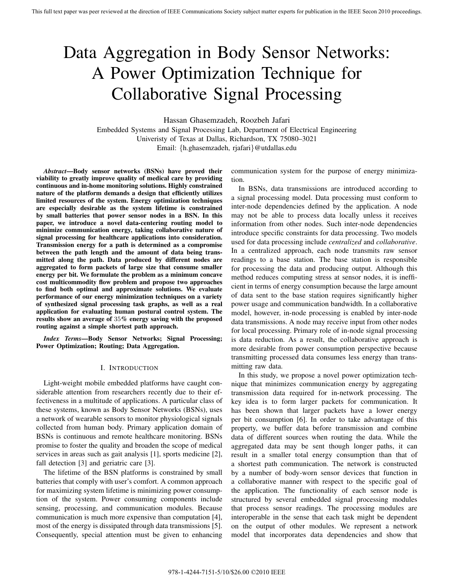# Data Aggregation in Body Sensor Networks: A Power Optimization Technique for Collaborative Signal Processing

Hassan Ghasemzadeh, Roozbeh Jafari

Embedded Systems and Signal Processing Lab, Department of Electrical Engineering Univeristy of Texas at Dallas, Richardson, TX 75080–3021 Email: {h.ghasemzadeh, rjafari}@utdallas.edu

*Abstract***—Body sensor networks (BSNs) have proved their viability to greatly improve quality of medical care by providing continuous and in-home monitoring solutions. Highly constrained nature of the platform demands a design that efficiently utilizes limited resources of the system. Energy optimization techniques are especially desirable as the system lifetime is constrained by small batteries that power sensor nodes in a BSN. In this paper, we introduce a novel data-centering routing model to minimize communication energy, taking collaborative nature of signal processing for healthcare applications into consideration. Transmission energy for a path is determined as a compromise between the path length and the amount of data being transmitted along the path. Data produced by different nodes are aggregated to form packets of large size that consume smaller energy per bit. We formulate the problem as a minimum concave cost multicommodity flow problem and propose two approaches to find both optimal and approximate solutions. We evaluate performance of our energy minimization techniques on a variety of synthesized signal processing task graphs, as well as a real application for evaluating human postural control system. The results show an average of** 35**% energy saving with the proposed routing against a simple shortest path approach.**

*Index Terms***—Body Sensor Networks; Signal Processing; Power Optimization; Routing; Data Aggregation.**

### I. INTRODUCTION

Light-weight mobile embedded platforms have caught considerable attention from researchers recently due to their effectiveness in a multitude of applications. A particular class of these systems, known as Body Sensor Networks (BSNs), uses a network of wearable sensors to monitor physiological signals collected from human body. Primary application domain of BSNs is continuous and remote healthcare monitoring. BSNs promise to foster the quality and broaden the scope of medical services in areas such as gait analysis [1], sports medicine [2], fall detection [3] and geriatric care [3].

The lifetime of the BSN platforms is constrained by small batteries that comply with user's comfort. A common approach for maximizing system lifetime is minimizing power consumption of the system. Power consuming components include sensing, processing, and communication modules. Because communication is much more expensive than computation [4], most of the energy is dissipated through data transmissions [5]. Consequently, special attention must be given to enhancing

communication system for the purpose of energy minimization.

In BSNs, data transmissions are introduced according to a signal processing model. Data processing must conform to inter-node dependencies defined by the application. A node may not be able to process data locally unless it receives information from other nodes. Such inter-node dependencies introduce specific constraints for data processing. Two models used for data processing include *centralized* and *collaborative*. In a centralized approach, each node transmits raw sensor readings to a base station. The base station is responsible for processing the data and producing output. Although this method reduces computing stress at sensor nodes, it is inefficient in terms of energy consumption because the large amount of data sent to the base station requires significantly higher power usage and communication bandwidth. In a collaborative model, however, in-node processing is enabled by inter-node data transmissions. A node may receive input from other nodes for local processing. Primary role of in-node signal processing is data reduction. As a result, the collaborative approach is more desirable from power consumption perspective because transmitting processed data consumes less energy than transmitting raw data.

In this study, we propose a novel power optimization technique that minimizes communication energy by aggregating transmission data required for in-network processing. The key idea is to form larger packets for communication. It has been shown that larger packets have a lower energy per bit consumption [6]. In order to take advantage of this property, we buffer data before transmission and combine data of different sources when routing the data. While the aggregated data may be sent though longer paths, it can result in a smaller total energy consumption than that of a shortest path communication. The network is constructed by a number of body-worn sensor devices that function in a collaborative manner with respect to the specific goal of the application. The functionality of each sensor node is structured by several embedded signal processing modules that process sensor readings. The processing modules are interoperable in the sense that each task might be dependent on the output of other modules. We represent a network model that incorporates data dependencies and show that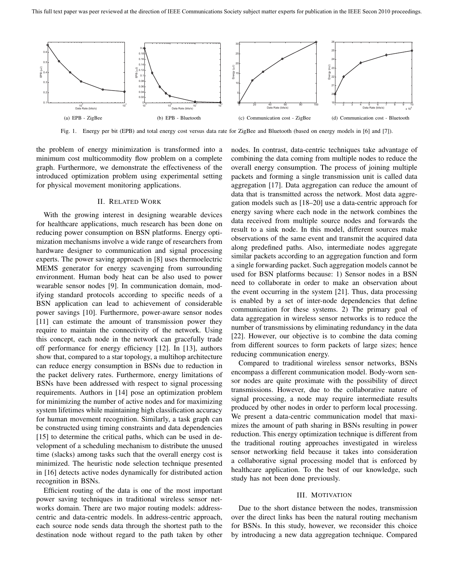

Fig. 1. Energy per bit (EPB) and total energy cost versus data rate for ZigBee and Bluetooth (based on energy models in [6] and [7]).

the problem of energy minimization is transformed into a minimum cost multicommodity flow problem on a complete graph. Furthermore, we demonstrate the effectiveness of the introduced optimization problem using experimental setting for physical movement monitoring applications.

## II. RELATED WORK

With the growing interest in designing wearable devices for healthcare applications, much research has been done on reducing power consumption on BSN platforms. Energy optimization mechanisms involve a wide range of researchers from hardware designer to communication and signal processing experts. The power saving approach in [8] uses thermoelectric MEMS generator for energy scavenging from surrounding environment. Human body heat can be also used to power wearable sensor nodes [9]. In communication domain, modifying standard protocols according to specific needs of a BSN application can lead to achievement of considerable power savings [10]. Furthermore, power-aware sensor nodes [11] can estimate the amount of transmission power they require to maintain the connectivity of the network. Using this concept, each node in the network can gracefully trade off performance for energy efficiency [12]. In [13], authors show that, compared to a star topology, a multihop architecture can reduce energy consumption in BSNs due to reduction in the packet delivery rates. Furthermore, energy limitations of BSNs have been addressed with respect to signal processing requirements. Authors in [14] pose an optimization problem for minimizing the number of active nodes and for maximizing system lifetimes while maintaining high classification accuracy for human movement recognition. Similarly, a task graph can be constructed using timing constraints and data dependencies [15] to determine the critical paths, which can be used in development of a scheduling mechanism to distribute the unused time (slacks) among tasks such that the overall energy cost is minimized. The heuristic node selection technique presented in [16] detects active nodes dynamically for distributed action recognition in BSNs.

Efficient routing of the data is one of the most important power saving techniques in traditional wireless sensor networks domain. There are two major routing models: addresscentric and data-centric models. In address-centric approach, each source node sends data through the shortest path to the destination node without regard to the path taken by other nodes. In contrast, data-centric techniques take advantage of combining the data coming from multiple nodes to reduce the overall energy consumption. The process of joining multiple packets and forming a single transmission unit is called data aggregation [17]. Data aggregation can reduce the amount of data that is transmitted across the network. Most data aggregation models such as [18–20] use a data-centric approach for energy saving where each node in the network combines the data received from multiple source nodes and forwards the result to a sink node. In this model, different sources make observations of the same event and transmit the acquired data along predefined paths. Also, intermediate nodes aggregate similar packets according to an aggregation function and form a single forwarding packet. Such aggregation models cannot be used for BSN platforms because: 1) Sensor nodes in a BSN need to collaborate in order to make an observation about the event occurring in the system [21]. Thus, data processing is enabled by a set of inter-node dependencies that define communication for these systems. 2) The primary goal of data aggregation in wireless sensor networks is to reduce the number of transmissions by eliminating redundancy in the data [22]. However, our objective is to combine the data coming from different sources to form packets of large sizes; hence reducing communication energy.

Compared to traditional wireless sensor networks, BSNs encompass a different communication model. Body-worn sensor nodes are quite proximate with the possibility of direct transmissions. However, due to the collaborative nature of signal processing, a node may require intermediate results produced by other nodes in order to perform local processing. We present a data-centric communication model that maximizes the amount of path sharing in BSNs resulting in power reduction. This energy optimization technique is different from the traditional routing approaches investigated in wireless sensor networking field because it takes into consideration a collaborative signal processing model that is enforced by healthcare application. To the best of our knowledge, such study has not been done previously.

#### III. MOTIVATION

Due to the short distance between the nodes, transmission over the direct links has been the natural routing mechanism for BSNs. In this study, however, we reconsider this choice by introducing a new data aggregation technique. Compared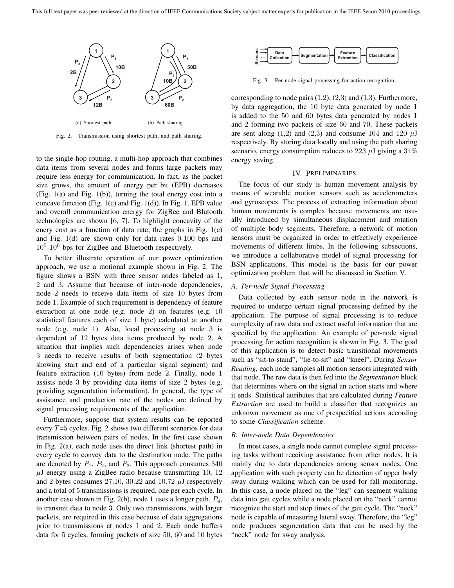

Fig. 2. Transmission using shortest path, and path sharing.

to the single-hop routing, a multi-hop approach that combines data items from several nodes and forms large packets may require less energy for communication. In fact, as the packet size grows, the amount of energy per bit (EPB) decreases (Fig. 1(a) and Fig. 1(b)), turning the total energy cost into a concave function (Fig. 1(c) and Fig. 1(d)). In Fig. 1, EPB value and overall communication energy for ZigBee and Blutooth technologies are shown [6, 7]. To highlight concavity of the enery cost as a function of data rate, the graphs in Fig. 1(c) and Fig. 1(d) are shown only for data rates 0-100 bps and  $10<sup>5</sup>$ -10<sup>6</sup> bps for ZigBee and Bluetooth respectively.

To better illustrate operation of our power optimization approach, we use a motional example shown in Fig. 2. The figure shows a BSN with three sensor nodes labeled as 1, 2 and 3. Assume that because of inter-node dependencies, node 2 needs to receive data items of size 10 bytes from node 1. Example of such requirement is dependency of feature extraction at one node (e.g. node 2) on features (e.g. 10 statistical features each of size 1 byte) calculated at another node (e.g. node 1). Also, local processing at node 3 is dependent of 12 bytes data items produced by node 2. A situation that implies such dependencies arises when node 3 needs to receive results of both segmentation (2 bytes showing start and end of a particular signal segment) and feature extraction (10 bytes) from node 2. Finally, node 1 assists node 3 by providing data items of size 2 bytes (e.g. providing segmentation information). In general, the type of assistance and production rate of the nodes are defined by signal processing requirements of the application.

Furthermore, suppose that system results can be reported every  $T=5$  cycles. Fig. 2 shows two different scenarios for data transmission between pairs of nodes. In the first case shown in Fig. 2(a), each node uses the direct link (shortest path) in every cycle to convey data to the destination node. The paths are denoted by  $P_1$ ,  $P_2$ , and  $P_3$ . This approach consumes 340  $\mu$ J energy using a ZigBee radio because transmitting 10, 12 and 2 bytes consumes 27.10, 30.22 and 10.72  $\mu$ J respectively and a total of 5 transmissions is required, one per each cycle. In another case shown in Fig. 2(b), node 1 uses a longer path,  $P_4$ , to transmit data to node 3. Only two transmissions, with larger packets, are required in this case because of data aggregations prior to transmissions at nodes 1 and 2. Each node buffers data for 5 cycles, forming packets of size 50, 60 and 10 bytes



Fig. 3. Per-node signal processing for action recognition.

corresponding to node pairs  $(1,2)$ ,  $(2,3)$  and  $(1,3)$ . Furthermore, by data aggregation, the 10 byte data generated by node 1 is added to the 50 and 60 bytes data generated by nodes 1 and 2 forming two packets of size 60 and 70. These packets are sent along (1,2) and (2,3) and consume 104 and 120  $\mu$ J respectively. By storing data locally and using the path sharing scenario, energy consumption reduces to 223  $\mu$ J giving a 34% energy saving.

# IV. PRELIMINARIES

The focus of our study is human movement analysis by means of wearable motion sensors such as accelerometers and gyroscopes. The process of extracting information about human movements is complex because movements are usually introduced by simultaneous displacement and rotation of multiple body segments. Therefore, a network of motion sensors must be organized in order to effectively experience movements of different limbs. In the following subsections, we introduce a collaborative model of signal processing for BSN applications. This model is the basis for our power optimization problem that will be discussed in Section V.

# *A. Per-node Signal Processing*

Data collected by each sensor node in the network is required to undergo certain signal processing defined by the application. The purpose of signal processing is to reduce complexity of raw data and extract useful information that are specified by the application. An example of per-node signal processing for action recognition is shown in Fig. 3. The goal of this application is to detect basic transitional movements such as "sit-to-stand", "lie-to-sit" and "kneel". During *Sensor Reading*, each node samples all motion sensors integrated with that node. The raw data is then fed into the *Segmentation* block that determines where on the signal an action starts and where it ends. Statistical attributes that are calculated during *Feature Extraction* are used to build a classifier that recognizes an unknown movement as one of prespecified actions according to some *Classification* scheme.

### *B. Inter-node Data Dependencies*

In most cases, a single node cannot complete signal processing tasks without receiving assistance from other nodes. It is mainly due to data dependencies among sensor nodes. One application with such property can be detection of upper body sway during walking which can be used for fall monitoring. In this case, a node placed on the "leg" can segment walking data into gait cycles while a node placed on the "neck" cannot recognize the start and stop times of the gait cycle. The "neck" node is capable of measuring lateral sway. Therefore, the "leg" node produces segmentation data that can be used by the "neck" node for sway analysis.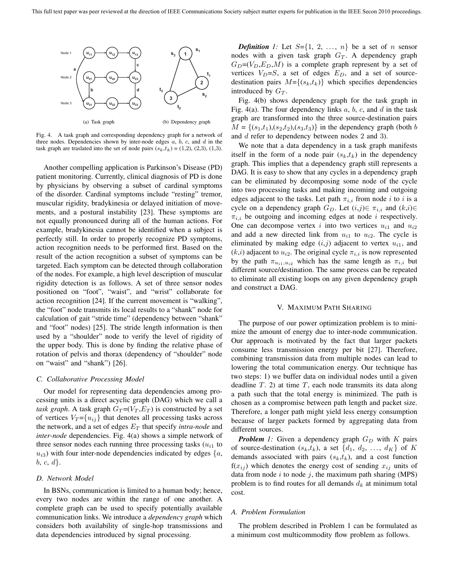

Fig. 4. A task graph and corresponding dependency graph for a network of three nodes. Dependencies shown by inter-node edges *a*, *b*, *c*, and *d* in the task graph are traslated into the set of node pairs  $(s_k, t_k) = (1,2), (2,3), (1,3)$ .

Another compelling application is Parkinson's Disease (PD) patient monitoring. Currently, clinical diagnosis of PD is done by physicians by observing a subset of cardinal symptoms of the disorder. Cardinal symptoms include "resting" tremor, muscular rigidity, bradykinesia or delayed initiation of movements, and a postural instability [23]. These symptoms are not equally pronounced during all of the human actions. For example, bradykinesia cannot be identified when a subject is perfectly still. In order to properly recognize PD symptoms, action recognition needs to be performed first. Based on the result of the action recognition a subset of symptoms can be targeted. Each symptom can be detected through collaboration of the nodes. For example, a high level description of muscular rigidity detection is as follows. A set of three sensor nodes positioned on "foot", "waist", and "wrist" collaborate for action recognition [24]. If the current movement is "walking", the "foot" node transmits its local results to a "shank" node for calculation of gait "stride time" (dependency between "shank" and "foot" nodes) [25]. The stride length information is then used by a "shoulder" node to verify the level of rigidity of the upper body. This is done by finding the relative phase of rotation of pelvis and thorax (dependency of "shoulder" node on "waist" and "shank") [26].

### *C. Collaborative Processing Model*

Our model for representing data dependencies among processing units is a direct acyclic graph (DAG) which we call a *task graph*. A task graph  $G_T = (V_T, E_T)$  is constructed by a set of vertices  $V_T = \{u_{ij}\}\$  that denotes all processing tasks across the network, and a set of edges E*<sup>T</sup>* that specify *intra-node* and *inter-node* dependencies. Fig. 4(a) shows a simple network of three sensor nodes each running three processing tasks  $(u_{i1}$  to  $u_{i3}$ ) with four inter-node dependencies indicated by edges  $\{a,$  $b, c, d$ .

# *D. Network Model*

In BSNs, communication is limited to a human body; hence, every two nodes are within the range of one another. A complete graph can be used to specify potentially available communication links. We introduce a *dependency graph* which considers both availability of single-hop transmissions and data dependencies introduced by signal processing.

*Definition 1:* Let  $S = \{1, 2, ..., n\}$  be a set of *n* sensor nodes with a given task graph  $G_T$ . A dependency graph  $G_D=(V_D,E_D,M)$  is a complete graph represent by a set of vertices  $V_D = S$ , a set of edges  $E_D$ , and a set of sourcedestination pairs  $M = \{(s_k, t_k)\}\$  which specifies dependencies introduced by  $G_T$ .

Fig. 4(b) shows dependency graph for the task graph in Fig. 4(a). The four dependency links  $a, b, c$ , and  $d$  in the task graph are transformed into the three source-destination pairs  $M = \{(s_1,t_1), (s_2,t_2), (s_3,t_3)\}\$ in the dependency graph (both b and d refer to dependency between nodes 2 and 3).

We note that a data dependency in a task graph manifests itself in the form of a node pair  $(s_k,t_k)$  in the dependency graph. This implies that a dependency graph still represents a DAG. It is easy to show that any cycles in a dependency graph can be eliminated by decomposing some node of the cycle into two processing tasks and making incoming and outgoing edges adjacent to the tasks. Let path  $\pi_{i,i}$  from node i to i is a cycle on a dependency graph  $G_D$ . Let  $(i,j) \in \pi_{i,i}$  and  $(k,i) \in$  $\pi_{i,i}$  be outgoing and incoming edges at node *i* respectively. One can decompose vertex  $i$  into two vertices  $u_{i1}$  and  $u_{i2}$ and add a new directed link from  $u_{i1}$  to  $u_{i2}$ . The cycle is eliminated by making edge  $(i,j)$  adjacent to vertex  $u_{i1}$ , and  $(k,i)$  adjacent to  $u_{i2}$ . The original cycle  $\pi_{i,i}$  is now represented by the path  $\pi_{u_{i1},u_{i2}}$  which has the same length as  $\pi_{i,i}$  but different source/destination. The same process can be repeated to eliminate all existing loops on any given dependency graph and construct a DAG.

## V. MAXIMUM PATH SHARING

The purpose of our power optimization problem is to minimize the amount of energy due to inter-node communication. Our approach is motivated by the fact that larger packets consume less transmission energy per bit [27]. Therefore, combining transmission data from multiple nodes can lead to lowering the total communication energy. Our technique has two steps: 1) we buffer data on individual nodes until a given deadline  $T$ . 2) at time  $T$ , each node transmits its data along a path such that the total energy is minimized. The path is chosen as a compromise between path length and packet size. Therefore, a longer path might yield less energy consumption because of larger packets formed by aggregating data from different sources.

*Problem 1:* Given a dependency graph  $G_D$  with K pairs of source-destination  $(s_k,t_k)$ , a set  $\{d_1, d_2, \ldots, d_K\}$  of K demands associated with pairs  $(s_k,t_k)$ , and a cost function  $f(x_{ij})$  which denotes the energy cost of sending  $x_{ij}$  units of data from node  $i$  to node  $j$ , the maximum path sharing (MPS) problem is to find routes for all demands  $d_k$  at minimum total cost.

## *A. Problem Formulation*

The problem described in Problem 1 can be formulated as a minimum cost multicommodity flow problem as follows.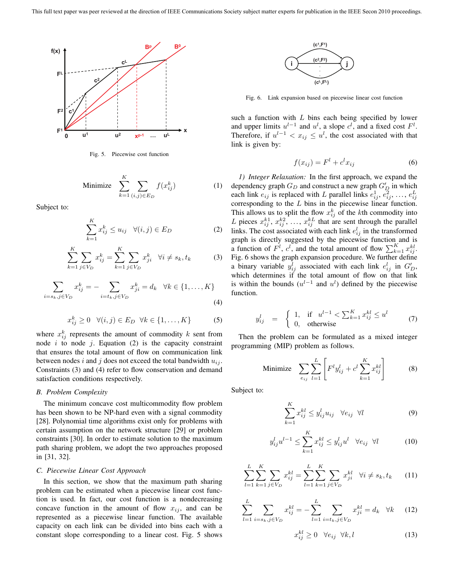

Fig. 5. Piecewise cost function

$$
\text{Minimize} \quad \sum_{k=1}^{K} \sum_{(i,j) \in E_D} f(x_{ij}^k) \tag{1}
$$

Subject to:

$$
\sum_{k=1}^{K} x_{ij}^k \le u_{ij} \quad \forall (i,j) \in E_D \tag{2}
$$

$$
\sum_{k=1}^{K} \sum_{j \in V_D} x_{ij}^k = \sum_{k=1}^{K} \sum_{j \in V_D} x_{ji}^k \quad \forall i \neq s_k, t_k
$$
 (3)

$$
\sum_{i=s_k,j\in V_D} x_{ij}^k = -\sum_{i=t_k,j\in V_D} x_{ji}^k = d_k \quad \forall k \in \{1,\ldots,K\}
$$
\n(4)

$$
x_{ij}^k \ge 0 \quad \forall (i,j) \in E_D \quad \forall k \in \{1, \dots, K\}
$$
 (5)

where  $x_{ij}^k$  represents the amount of commodity k sent from node  $i$  to node  $j$ . Equation (2) is the capacity constraint that ensures the total amount of flow on communication link between nodes i and j does not exceed the total bandwidth  $u_{ij}$ . Constraints (3) and (4) refer to flow conservation and demand satisfaction conditions respectively.

## *B. Problem Complexity*

The minimum concave cost multicommodity flow problem has been shown to be NP-hard even with a signal commodity [28]. Polynomial time algorithms exist only for problems with certain assumption on the network structure [29] or problem constraints [30]. In order to estimate solution to the maximum path sharing problem, we adopt the two approaches proposed in [31, 32].

## *C. Piecewise Linear Cost Approach*

In this section, we show that the maximum path sharing problem can be estimated when a piecewise linear cost function is used. In fact, our cost function is a nondecreasing concave function in the amount of flow  $x_{ij}$ , and can be represented as a piecewise linear function. The available capacity on each link can be divided into bins each with a constant slope corresponding to a linear cost. Fig. 5 shows



Fig. 6. Link expansion based on piecewise linear cost function

such a function with  $L$  bins each being specified by lower and upper limits  $u^{l-1}$  and  $u^l$ , a slope  $c^l$ , and a fixed cost  $F^l$ . Therefore, if  $u^{l-1} < x_{ij} \leq u^l$ , the cost associated with that link is given by:

$$
f(x_{ij}) = F^l + c^l x_{ij}
$$
 (6)

*1) Integer Relaxation:* In the first approach, we expand the dependency graph  $G_D$  and construct a new graph  $G'_D$  in which each link  $e_{ij}$  is replaced with L parallel links  $e_{ij}^1, e_{ij}^2, \ldots, e_{ij}^L$ corresponding to the L bins in the piecewise linear function. This allows us to split the flow  $x_{ij}^k$  of the kth commodity into L pieces  $x_{ij}^{k_1}, x_{ij}^{k_2}, \ldots, x_{ij}^{k_L}$  that are sent through the parallel links. The cost associated with each link  $e_{ij}^l$  in the transformed graph is directly suggested by the piecewise function and is a function of  $F^l$ ,  $c^l$ , and the total amount of flow  $\sum_{k=1}^K x_{ij}^{kl}$ . Fig. 6 shows the graph expansion procedure. We further define a binary variable  $y_{ij}^{\overline{l}}$  associated with each link  $e_{ij}^{\overline{l}}$  in  $G'_{\overline{D}}$ , which determines if the total amount of flow on that link is within the bounds  $(u^{l-1}$  and  $u^{l}$ ) defined by the piecewise function.

$$
y_{ij}^l = \begin{cases} 1, & \text{if } u^{l-1} < \sum_{k=1}^K x_{ij}^{kl} \le u^l \\ 0, & \text{otherwise} \end{cases} \tag{7}
$$

Then the problem can be formulated as a mixed integer programming (MIP) problem as follows.

$$
\text{Minimize} \quad \sum_{e_{ij}} \sum_{l=1}^{L} \left[ F^l y_{ij}^l + c^l \sum_{k=1}^{K} x_{ij}^{kl} \right] \tag{8}
$$

Subject to:

$$
\sum_{k=1}^{K} x_{ij}^{kl} \le y_{ij}^{l} u_{ij} \quad \forall e_{ij} \quad \forall l \tag{9}
$$

$$
y_{ij}^l u^{l-1} \le \sum_{k=1}^K x_{ij}^{kl} \le y_{ij}^l u^l \quad \forall e_{ij} \quad \forall l \tag{10}
$$

$$
\sum_{l=1}^{L} \sum_{k=1}^{K} \sum_{j \in V_D} x_{ij}^{kl} = \sum_{l=1}^{L} \sum_{k=1}^{K} \sum_{j \in V_D} x_{ji}^{kl} \quad \forall i \neq s_k, t_k \tag{11}
$$

$$
\sum_{l=1}^{L} \sum_{i=s_k, j \in V_D} x_{ij}^{kl} = -\sum_{l=1}^{L} \sum_{i=t_k, j \in V_D} x_{ji}^{kl} = d_k \quad \forall k \tag{12}
$$

$$
x_{ij}^{kl} \ge 0 \quad \forall e_{ij} \quad \forall k, l \tag{13}
$$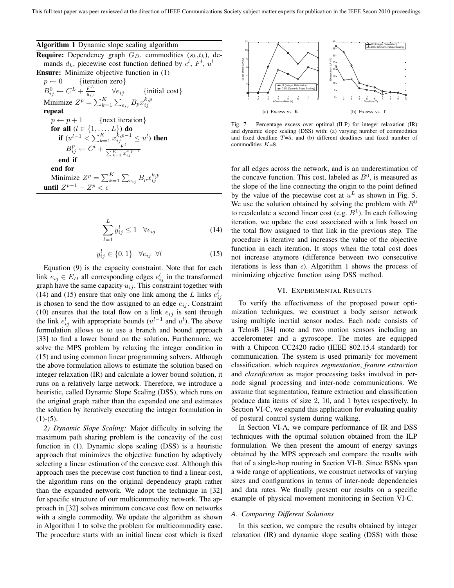# **Algorithm 1** Dynamic slope scaling algorithm

**Require:** Dependency graph  $G_D$ , commodities  $(s_k,t_k)$ , demands  $d_k$ , piecewise cost function defined by  $c^l$ ,  $F^l$ ,  $u^l$ **Ensure:** Minimize objective function in (1)

 $p \leftarrow 0$  {iteration zero}  $B_{ij}^0 \leftarrow C^L + \frac{F^L}{u_{ij}}$   $\forall e_{ij}$  {initial cost} Minimize  $Z^p = \sum_{k=1}^K \sum_{e_{ij}} B_p x_{ij}^{k,p}$ **repeat**  $p \leftarrow p + 1$  {next iteration} **for all**  $(l \in \{1, ..., L\})$  **do if**  $(u^{l-1} < \sum_{k=1}^{K} x_{ij}^{k,p-1} \leq u^{l}$  **then** *B*<sup>*p*</sup></sup><sub>*ij*</sub> ← *C*<sup>*l*</sup> +  $\frac{F^{l}}{\sum_{k=1}^{K} x_{ij}^{k,p-1}}$ **end if end for** Minimize  $Z^p = \sum_{k=1}^K \sum_{e_{ij}} B_p x_{ij}^{k,p}$ <br>until  $Z^{p-1} - Z^p < \epsilon$ 

$$
\sum_{l=1}^{L} y_{ij}^l \le 1 \quad \forall e_{ij} \tag{14}
$$

 $y_{ij}^l \in \{0, 1\}$   $\forall e_{ij}$   $\forall l$  (15)

Equation (9) is the capacity constraint. Note that for each link  $e_{ij} \in E_D$  all corresponding edges  $e_{ij}^l$  in the transformed graph have the same capacity  $u_{ij}$ . This constraint together with (14) and (15) ensure that only one link among the L links  $e_{ij}^l$ is chosen to send the flow assigned to an edge  $e_{ij}$ . Constraint (10) ensures that the total flow on a link  $e_{ij}$  is sent through the link  $e_{ij}^l$  with appropriate bounds  $(u^{l-1}$  and  $u^l$ ). The above formulation allows us to use a branch and bound approach [33] to find a lower bound on the solution. Furthermore, we solve the MPS problem by relaxing the integer condition in (15) and using common linear programming solvers. Although the above formulation allows to estimate the solution based on integer relaxation (IR) and calculate a lower bound solution, it runs on a relatively large network. Therefore, we introduce a heuristic, called Dynamic Slope Scaling (DSS), which runs on the original graph rather than the expanded one and estimates the solution by iteratively executing the integer formulation in  $(1)-(5)$ .

*2) Dynamic Slope Scaling:* Major difficulty in solving the maximum path sharing problem is the concavity of the cost function in (1). Dynamic slope scaling (DSS) is a heuristic approach that minimizes the objective function by adaptively selecting a linear estimation of the concave cost. Although this approach uses the piecewise cost function to find a linear cost, the algorithm runs on the original dependency graph rather than the expanded network. We adopt the technique in [32] for specific structure of our multicommodity network. The approach in [32] solves minimum concave cost flow on networks with a single commodity. We update the algorithm as shown in Algorithm 1 to solve the problem for multicommodity case. The procedure starts with an initial linear cost which is fixed



Fig. 7. Percentage excess over optimal (ILP) for integer relaxation (IR) and dynamic slope scaling (DSS) with: (a) varying number of commodities and fixed deadline *T*=5, and (b) different deadlines and fixed number of commodities *K*=8.

for all edges across the network, and is an underestimation of the concave function. This cost, labeled as  $B^0$ , is measured as the slope of the line connecting the origin to the point defined by the value of the piecewise cost at  $u^L$  as shown in Fig. 5. We use the solution obtained by solving the problem with  $B^0$ to recalculate a second linear cost (e.g.  $B<sup>1</sup>$ ). In each following iteration, we update the cost associated with a link based on the total flow assigned to that link in the previous step. The procedure is iterative and increases the value of the objective function in each iteration. It stops when the total cost does not increase anymore (difference between two consecutive iterations is less than  $\epsilon$ ). Algorithm 1 shows the process of minimizing objective function using DSS method.

# VI. EXPERIMENTAL RESULTS

To verify the effectiveness of the proposed power optimization techniques, we construct a body sensor network using multiple inertial sensor nodes. Each node consists of a TelosB [34] mote and two motion sensors including an accelerometer and a gyroscope. The motes are equipped with a Chipcon CC2420 radio (IEEE 802.15.4 standard) for communication. The system is used primarily for movement classification, which requires *segmentation*, *feature extraction* and *classification* as major processing tasks involved in pernode signal processing and inter-node communications. We assume that segmentation, feature extraction and classification produce data items of size 2, 10, and 1 bytes respectively. In Section VI-C, we expand this application for evaluating quality of postural control system during walking.

In Section VI-A, we compare performance of IR and DSS techniques with the optimal solution obtained from the ILP formulation. We then present the amount of energy savings obtained by the MPS approach and compare the results with that of a single-hop routing in Section VI-B. Since BSNs span a wide range of applications, we construct networks of varying sizes and configurations in terms of inter-node dependencies and data rates. We finally present our results on a specific example of physical movement monitoring in Section VI-C.

# *A. Comparing Different Solutions*

In this section, we compare the results obtained by integer relaxation (IR) and dynamic slope scaling (DSS) with those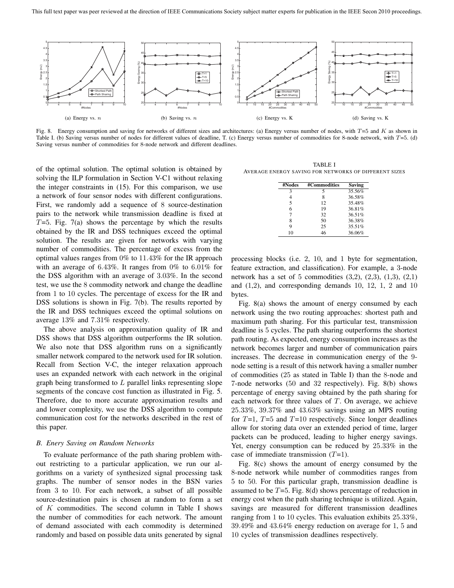

Fig. 8. Energy consumption and saving for networks of different sizes and architectures: (a) Energy versus number of nodes, with *T*=5 and *K* as shown in Table I. (b) Saving versus number of nodes for different values of deadline, T. (c) Energy versus number of commodities for 8-node network, with *T*=5. (d) Saving versus number of commodities for 8-node network and different deadlines.

of the optimal solution. The optimal solution is obtained by solving the ILP formulation in Section V-C1 without relaxing the integer constraints in (15). For this comparison, we use a network of four sensor nodes with different configurations. First, we randomly add a sequence of 8 source-destination pairs to the network while transmission deadline is fixed at  $T=5$ . Fig. 7(a) shows the percentage by which the results obtained by the IR and DSS techniques exceed the optimal solution. The results are given for networks with varying number of commodities. The percentage of excess from the optimal values ranges from 0% to 11.43% for the IR approach with an average of 6.43%. It ranges from 0% to 6.01% for the DSS algorithm with an average of 3.03%. In the second test, we use the 8 commodity network and change the deadline from 1 to 10 cycles. The percentage of excess for the IR and DSS solutions is shown in Fig. 7(b). The results reported by the IR and DSS techniques exceed the optimal solutions on average 13% and 7.31% respectively.

The above analysis on approximation quality of IR and DSS shows that DSS algorithm outperforms the IR solution. We also note that DSS algorithm runs on a significantly smaller network compared to the network used for IR solution. Recall from Section V-C, the integer relaxation approach uses an expanded network with each network in the original graph being transformed to  $L$  parallel links representing slope segments of the concave cost function as illustrated in Fig. 5. Therefore, due to more accurate approximation results and and lower complexity, we use the DSS algorithm to compute communication cost for the networks described in the rest of this paper.

#### *B. Enery Saving on Random Networks*

To evaluate performance of the path sharing problem without restricting to a particular application, we run our algorithms on a variety of synthesized signal processing task graphs. The number of sensor nodes in the BSN varies from 3 to 10. For each network, a subset of all possible source-destination pairs is chosen at random to form a set of  $K$  commodities. The second column in Table I shows the number of commodities for each network. The amount of demand associated with each commodity is determined randomly and based on possible data units generated by signal

TABLE I AVERAGE ENERGY SAVING FOR NETWORKS OF DIFFERENT SIZES

| #Nodes | #Commodities | Saving |
|--------|--------------|--------|
| 3      | 5            | 35.56% |
| 4      | 8            | 36.58% |
| 5      | 12           | 35.48% |
| 6      | 19           | 36.81% |
| 7      | 32           | 36.51% |
| 8      | 50           | 36.38% |
| 9      | 25           | 35.51% |
| 10     | 46           | 36.06% |

processing blocks (i.e. 2, 10, and 1 byte for segmentation, feature extraction, and classification). For example, a 3-node network has a set of 5 commodities  $(3,2)$ ,  $(2,3)$ ,  $(1,3)$ ,  $(2,1)$ and  $(1,2)$ , and corresponding demands 10, 12, 1, 2 and 10 bytes.

Fig. 8(a) shows the amount of energy consumed by each network using the two routing approaches: shortest path and maximum path sharing. For this particular test, transmission deadline is 5 cycles. The path sharing outperforms the shortest path routing. As expected, energy consumption increases as the network becomes larger and number of communication pairs increases. The decrease in communication energy of the 9 node setting is a result of this network having a smaller number of commodities (25 as stated in Table I) than the 8-node and 7-node networks (50 and 32 respectively). Fig. 8(b) shows percentage of energy saving obtained by the path sharing for each network for three values of  $T$ . On average, we achieve 25.33%, 39.37% and 43.63% savings using an MPS routing for  $T=1$ ,  $T=5$  and  $T=10$  respectively. Since longer deadlines allow for storing data over an extended period of time, larger packets can be produced, leading to higher energy savings. Yet, energy consumption can be reduced by 25.33% in the case of immediate transmission  $(T=1)$ .

Fig. 8(c) shows the amount of energy consumed by the 8-node network while number of commodities ranges from 5 to 50. For this particular graph, transmission deadline is assumed to be  $T=5$ . Fig. 8(d) shows percentage of reduction in energy cost when the path sharing technique is utilized. Again, savings are measured for different transmission deadlines ranging from 1 to 10 cycles. This evaluation exhibits 25.33%, 39.49% and 43.64% energy reduction on average for 1, 5 and 10 cycles of transmission deadlines respectively.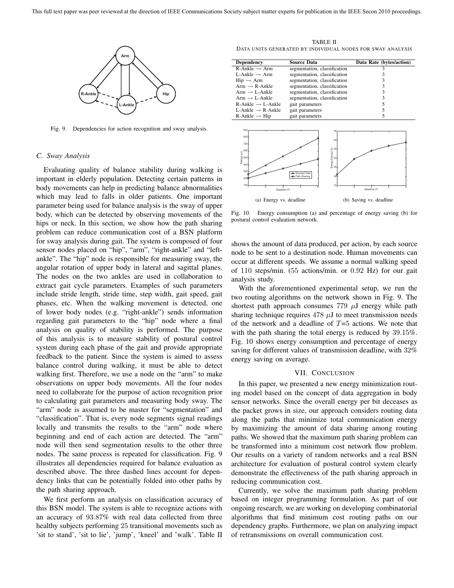

Fig. 9. Dependencies for action recognition and sway analysis.

#### *C. Sway Analysis*

Evaluating quality of balance stability during walking is important in elderly population. Detecting certain patterns in body movements can help in predicting balance abnormalities which may lead to falls in older patients. One important parameter being used for balance analysis is the sway of upper body, which can be detected by observing movements of the hips or neck. In this section, we show how the path sharing problem can reduce communication cost of a BSN platform for sway analysis during gait. The system is composed of four sensor nodes placed on "hip", "arm", "right-ankle" and "leftankle". The "hip" node is responsible for measuring sway, the angular rotation of upper body in lateral and sagittal planes. The nodes on the two ankles are used in collaboration to extract gait cycle parameters. Examples of such parameters include stride length, stride time, step width, gait speed, gait phases, etc. When the walking movement is detected, one of lower body nodes (e.g. "right-ankle") sends information regarding gait parameters to the "hip" node where a final analysis on quality of stability is performed. The purpose of this analysis is to measure stability of postural control system during each phase of the gait and provide appropriate feedback to the patient. Since the system is aimed to assess balance control during walking, it must be able to detect walking first. Therefore, we use a node on the "arm" to make observations on upper body movements. All the four nodes need to collaborate for the purpose of action recognition prior to calculating gait parameters and measuring body sway. The "arm" node is assumed to be master for "segmentation" and "classification". That is, every node segments signal readings locally and transmits the results to the "arm" node where beginning and end of each action are detected. The "arm" node will then send segmentation results to the other three nodes. The same process is repeated for classification. Fig. 9 illustrates all dependencies required for balance evaluation as described above. The three dashed lines account for dependency links that can be potentially folded into other paths by the path sharing approach.

We first perform an analysis on classification accuracy of this BSN model. The system is able to recognize actions with an accuracy of 93.87% with real data collected from three healthy subjects performing 25 transitional movements such as 'sit to stand', 'sit to lie', 'jump', 'kneel' and 'walk'. Table II

TABLE II DATA UNITS GENERATED BY INDIVIDUAL NODES FOR SWAY ANALYSIS

| Dependency                          | <b>Source Data</b>           | Data Rate (bytes/action) |
|-------------------------------------|------------------------------|--------------------------|
| $R$ -Ankle $\rightarrow$ Arm        | segmentation, classification |                          |
| L-Ankle $\rightarrow$ Arm           | segmentation, classification |                          |
| $\text{Hip} \rightarrow \text{Arm}$ | segmentation, classification |                          |
| $Arm \rightarrow R-Ankle$           | segmentation, classification |                          |
| $Arm \rightarrow L-Ankle$           | segmentation, classification |                          |
| $Arm \rightarrow L-Ankle$           | segmentation, classification |                          |
| $R$ -Ankle $\rightarrow$ L-Ankle    | gait parameters              |                          |
| L-Ankle $\rightarrow$ R-Ankle       | gait parameters              |                          |
| $R$ -Ankle $\rightarrow$ Hip        | gait parameters              |                          |
|                                     |                              |                          |
| 900                                 |                              |                          |
| 800                                 | 40                           |                          |



Fig. 10. Energy consumption (a) and percentage of energy saving (b) for postural control evaluation network.

shows the amount of data produced, per action, by each source node to be sent to a destination node. Human movements can occur at different speeds. We assume a normal walking speed of 110 steps/min. (55 actions/min. or 0.92 Hz) for our gait analysis study.

With the aforementioned experimental setup, we run the two routing algorithms on the network shown in Fig. 9. The shortest path approach consumes 779  $\mu$ J energy while path sharing technique requires  $478 \mu J$  to meet transmission needs of the network and a deadline of  $T=5$  actions. We note that with the path sharing the total energy is reduced by 39.15%. Fig. 10 shows energy consumption and percentage of energy saving for different values of transmission deadline, with 32% energy saving on average.

## VII. CONCLUSION

In this paper, we presented a new energy minimization routing model based on the concept of data aggregation in body sensor networks. Since the overall energy per bit deceases as the packet grows in size, our approach considers routing data along the paths that minimize total communication energy by maximizing the amount of data sharing among routing paths. We showed that the maximum path sharing problem can be transformed into a minimum cost network flow problem. Our results on a variety of random networks and a real BSN architecture for evaluation of postural control system clearly demonstrate the effectiveness of the path sharing approach in reducing communication cost.

Currently, we solve the maximum path sharing problem based on integer programming formulation. As part of our ongoing research, we are working on developing combinatorial algorithms that find minimum cost routing paths on our dependency graphs. Furthermore, we plan on analyzing impact of retransmissions on overall communication cost.